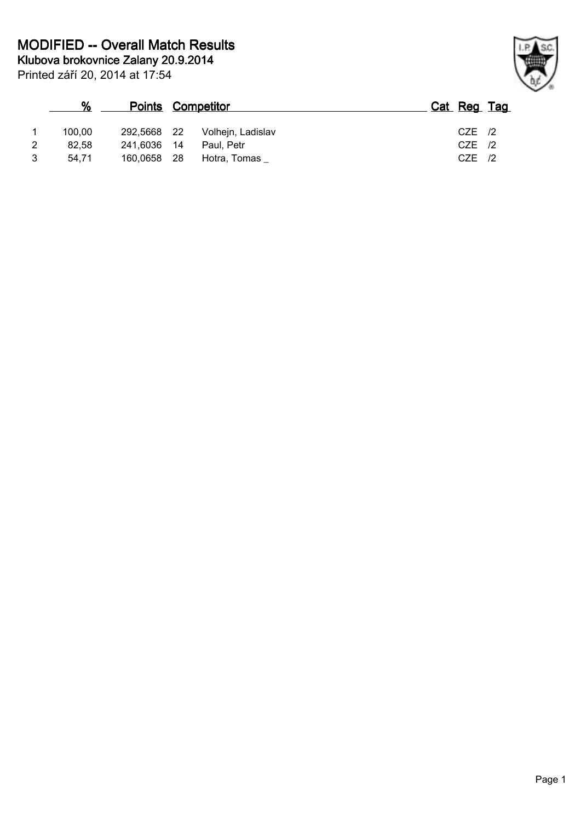|   | ℀      | <b>Points Competitor</b> |      |                   | Cat Reg Tag |  |
|---|--------|--------------------------|------|-------------------|-------------|--|
|   | 100.00 | 292.5668 22              |      | Volhejn, Ladislav | $CZE$ /2    |  |
| 2 | 82.58  | 241.6036 14              |      | Paul. Petr        | $CZE$ /2    |  |
|   | 54.71  | 160,0658                 | - 28 | Hotra, Tomas      | $CZE$ /2    |  |

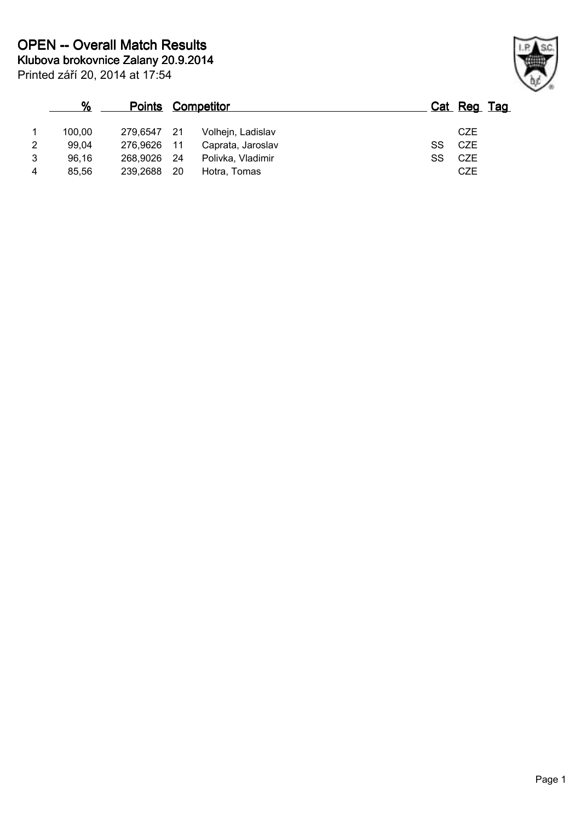|                | %      |             | <b>Points Competitor</b> |                   |    | Cat Reg Tag |  |
|----------------|--------|-------------|--------------------------|-------------------|----|-------------|--|
|                | 100.00 | 279.6547 21 |                          | Volhejn, Ladislav |    | CZE         |  |
| 2              | 99.04  | 276.9626 11 |                          | Caprata, Jaroslav | SS | CZE         |  |
| 3              | 96,16  | 268,9026 24 |                          | Polivka, Vladimir | SS | CZE         |  |
| $\overline{4}$ | 85.56  | 239,2688    | - 20                     | Hotra, Tomas      |    | <b>CZE</b>  |  |

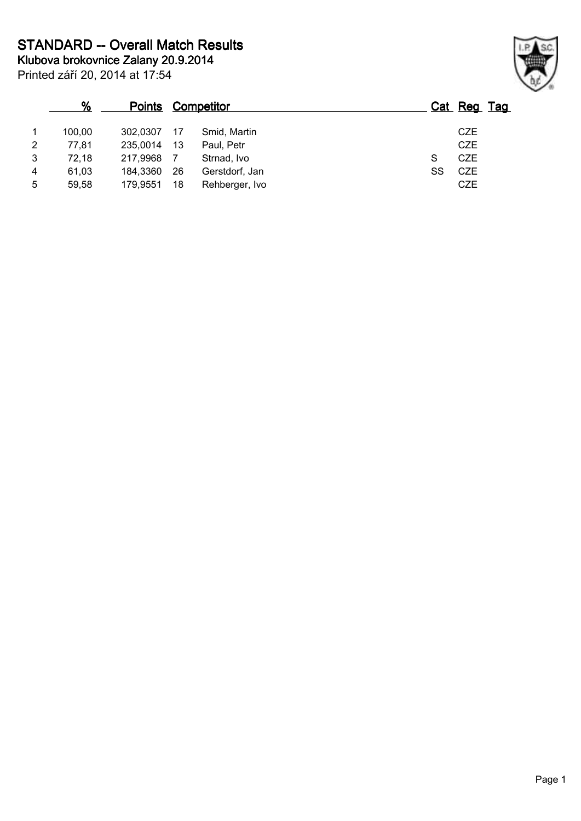|                | %      | <b>Points</b> | <u>Competitor</u> |                | <u>Cat</u> | Reg Tag    |  |
|----------------|--------|---------------|-------------------|----------------|------------|------------|--|
|                | 100.00 | 302.0307      | 17                | Smid, Martin   |            | <b>CZE</b> |  |
| $\overline{2}$ | 77,81  | 235,0014      | 13                | Paul, Petr     |            | <b>CZE</b> |  |
| 3              | 72,18  | 217,9968      |                   | Strnad, Ivo    | S          | CZE        |  |
| 4              | 61,03  | 184,3360      | 26                | Gerstdorf, Jan | SS         | <b>CZE</b> |  |
| 5              | 59,58  | 179,9551      | 18                | Rehberger, Ivo |            | <b>CZE</b> |  |